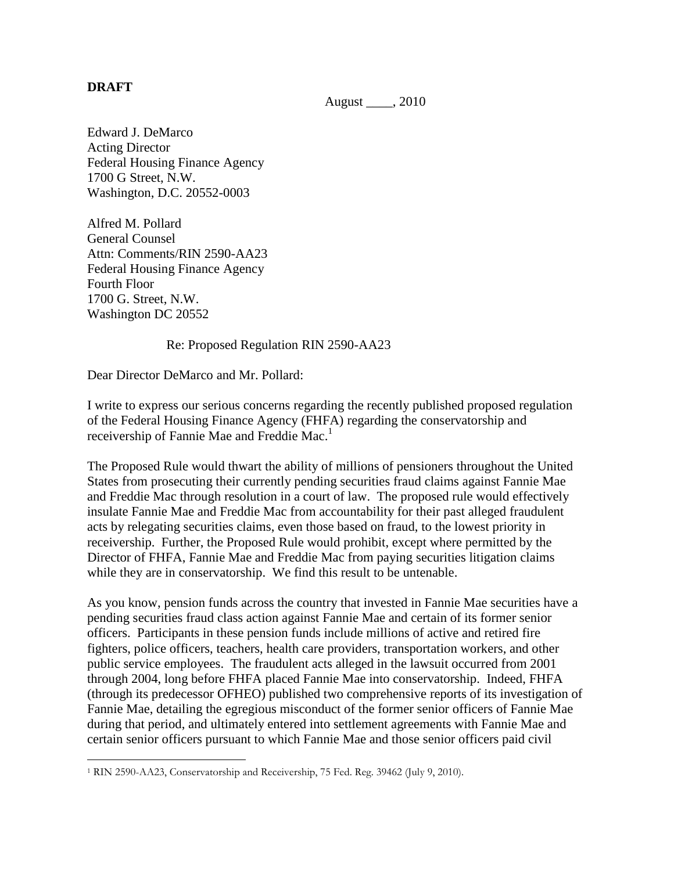## **DRAFT**

 $\overline{a}$ 

August \_\_\_\_, 2010

Edward J. DeMarco Acting Director Federal Housing Finance Agency 1700 G Street, N.W. Washington, D.C. 20552-0003

Alfred M. Pollard General Counsel Attn: Comments/RIN 2590-AA23 Federal Housing Finance Agency Fourth Floor 1700 G. Street, N.W. Washington DC 20552

Re: Proposed Regulation RIN 2590-AA23

Dear Director DeMarco and Mr. Pollard:

I write to express our serious concerns regarding the recently published proposed regulation of the Federal Housing Finance Agency (FHFA) regarding the conservatorship and receivership of Fannie Mae and Freddie Mac. 1

The Proposed Rule would thwart the ability of millions of pensioners throughout the United States from prosecuting their currently pending securities fraud claims against Fannie Mae and Freddie Mac through resolution in a court of law. The proposed rule would effectively insulate Fannie Mae and Freddie Mac from accountability for their past alleged fraudulent acts by relegating securities claims, even those based on fraud, to the lowest priority in receivership. Further, the Proposed Rule would prohibit, except where permitted by the Director of FHFA, Fannie Mae and Freddie Mac from paying securities litigation claims while they are in conservatorship. We find this result to be untenable.

As you know, pension funds across the country that invested in Fannie Mae securities have a pending securities fraud class action against Fannie Mae and certain of its former senior officers. Participants in these pension funds include millions of active and retired fire fighters, police officers, teachers, health care providers, transportation workers, and other public service employees. The fraudulent acts alleged in the lawsuit occurred from 2001 through 2004, long before FHFA placed Fannie Mae into conservatorship. Indeed, FHFA (through its predecessor OFHEO) published two comprehensive reports of its investigation of Fannie Mae, detailing the egregious misconduct of the former senior officers of Fannie Mae during that period, and ultimately entered into settlement agreements with Fannie Mae and certain senior officers pursuant to which Fannie Mae and those senior officers paid civil

<sup>1</sup> RIN 2590-AA23, Conservatorship and Receivership, 75 Fed. Reg. 39462 (July 9, 2010).